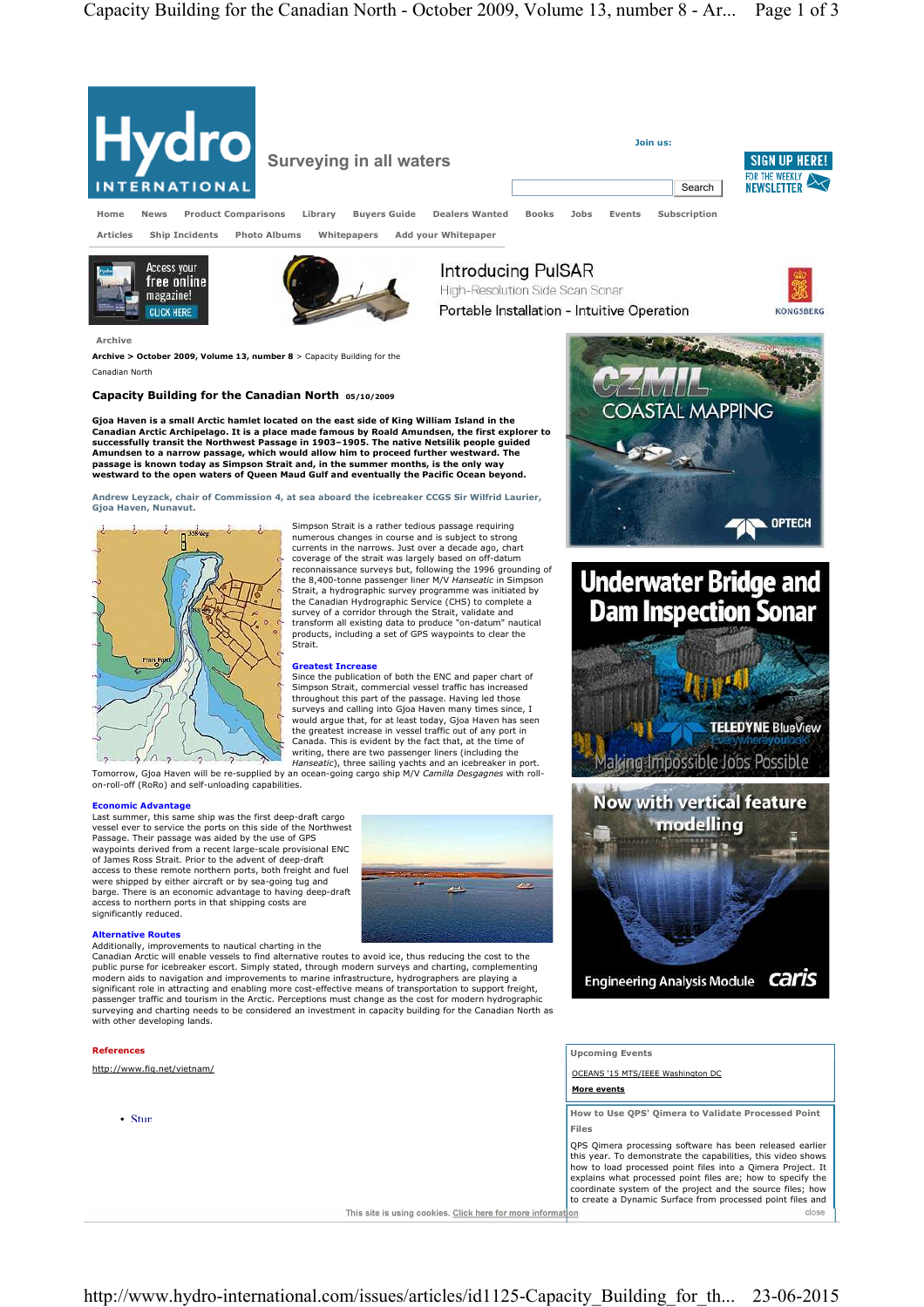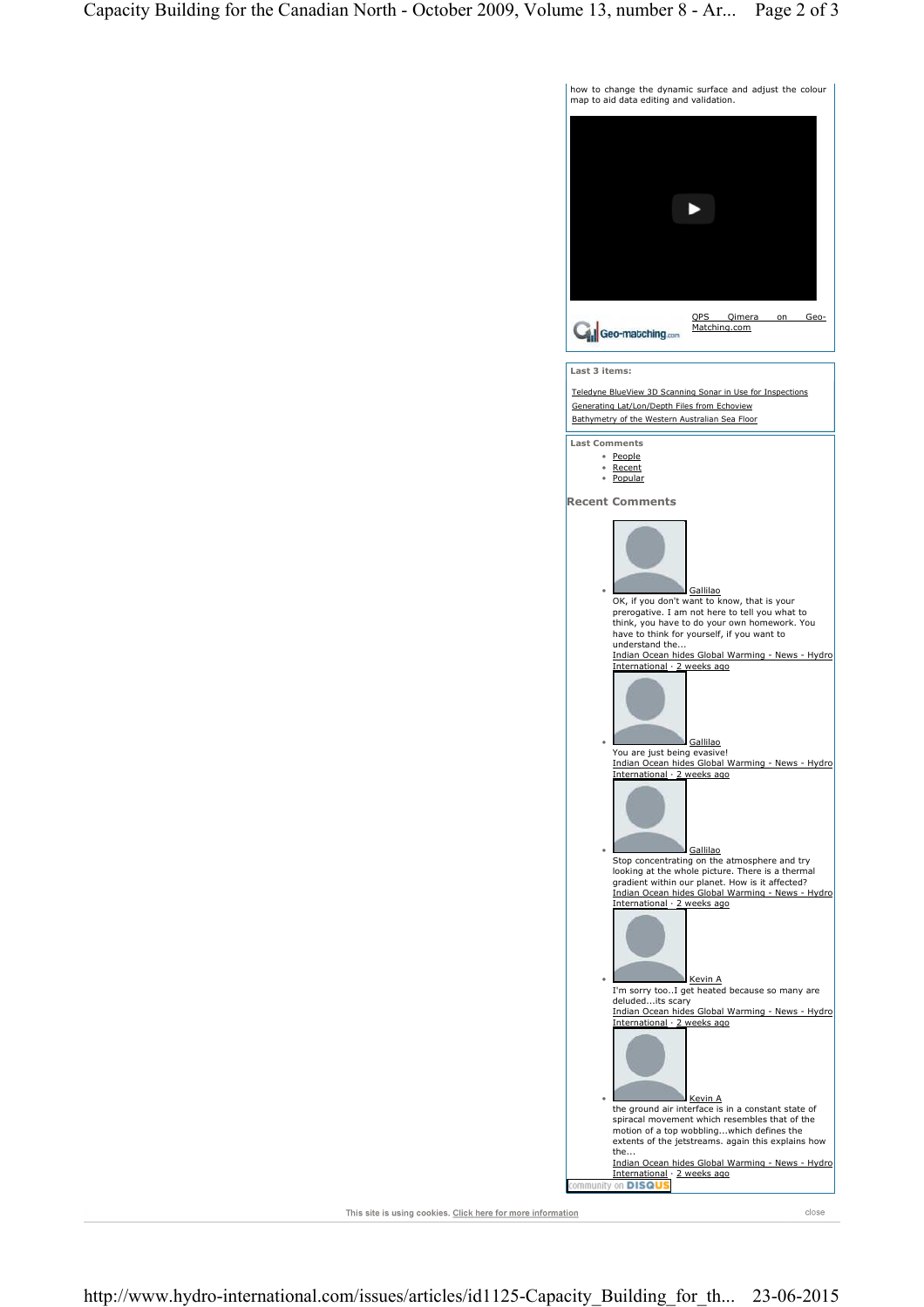

This site is using cookies. Click here for more information